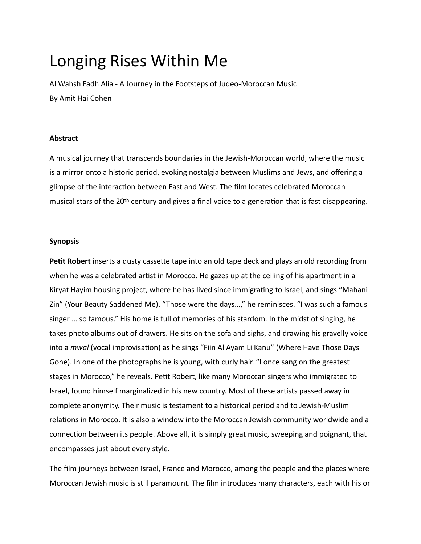# Longing Rises Within Me

Al Wahsh Fadh Alia - A Journey in the Footsteps of Judeo-Moroccan Music By Amit Hai Cohen

## **Abstract**

A musical journey that transcends boundaries in the Jewish-Moroccan world, where the music is a mirror onto a historic period, evoking nostalgia between Muslims and Jews, and offering a glimpse of the interaction between East and West. The film locates celebrated Moroccan musical stars of the 20<sup>th</sup> century and gives a final voice to a generation that is fast disappearing.

## **Synopsis**

Petit Robert inserts a dusty cassette tape into an old tape deck and plays an old recording from when he was a celebrated artist in Morocco. He gazes up at the ceiling of his apartment in a Kiryat Hayim housing project, where he has lived since immigrating to Israel, and sings "Mahani Zin" (Your Beauty Saddened Me). "Those were the days...," he reminisces. "I was such a famous singer ... so famous." His home is full of memories of his stardom. In the midst of singing, he takes photo albums out of drawers. He sits on the sofa and sighs, and drawing his gravelly voice into a *mwal* (vocal improvisation) as he sings "Fiin Al Ayam Li Kanu" (Where Have Those Days Gone). In one of the photographs he is young, with curly hair. "I once sang on the greatest stages in Morocco," he reveals. Petit Robert, like many Moroccan singers who immigrated to Israel, found himself marginalized in his new country. Most of these artists passed away in complete anonymity. Their music is testament to a historical period and to Jewish-Muslim relations in Morocco. It is also a window into the Moroccan Jewish community worldwide and a connection between its people. Above all, it is simply great music, sweeping and poignant, that encompasses just about every style.

The film journeys between Israel, France and Morocco, among the people and the places where Moroccan Jewish music is still paramount. The film introduces many characters, each with his or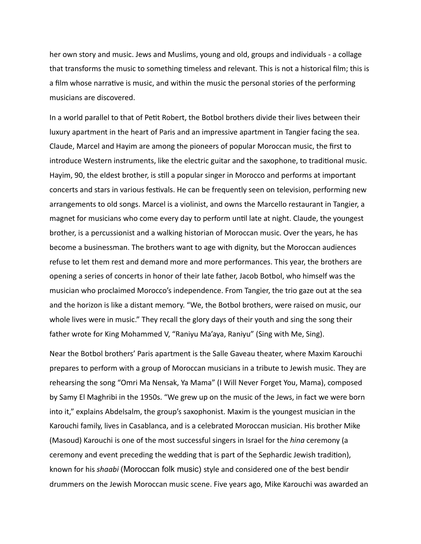her own story and music. Jews and Muslims, young and old, groups and individuals - a collage that transforms the music to something timeless and relevant. This is not a historical film; this is a film whose narrative is music, and within the music the personal stories of the performing musicians are discovered.

In a world parallel to that of Petit Robert, the Botbol brothers divide their lives between their luxury apartment in the heart of Paris and an impressive apartment in Tangier facing the sea. Claude, Marcel and Hayim are among the pioneers of popular Moroccan music, the first to introduce Western instruments, like the electric guitar and the saxophone, to traditional music. Hayim, 90, the eldest brother, is still a popular singer in Morocco and performs at important concerts and stars in various festivals. He can be frequently seen on television, performing new arrangements to old songs. Marcel is a violinist, and owns the Marcello restaurant in Tangier, a magnet for musicians who come every day to perform until late at night. Claude, the youngest brother, is a percussionist and a walking historian of Moroccan music. Over the years, he has become a businessman. The brothers want to age with dignity, but the Moroccan audiences refuse to let them rest and demand more and more performances. This year, the brothers are opening a series of concerts in honor of their late father, Jacob Botbol, who himself was the musician who proclaimed Morocco's independence. From Tangier, the trio gaze out at the sea and the horizon is like a distant memory. "We, the Botbol brothers, were raised on music, our whole lives were in music." They recall the glory days of their youth and sing the song their father wrote for King Mohammed V, "Raniyu Ma'aya, Raniyu" (Sing with Me, Sing).

Near the Botbol brothers' Paris apartment is the Salle Gaveau theater, where Maxim Karouchi prepares to perform with a group of Moroccan musicians in a tribute to Jewish music. They are rehearsing the song "Omri Ma Nensak, Ya Mama" (I Will Never Forget You, Mama), composed by Samy El Maghribi in the 1950s. "We grew up on the music of the Jews, in fact we were born into it," explains Abdelsalm, the group's saxophonist. Maxim is the youngest musician in the Karouchi family, lives in Casablanca, and is a celebrated Moroccan musician. His brother Mike (Masoud) Karouchi is one of the most successful singers in Israel for the *hing* ceremony (a ceremony and event preceding the wedding that is part of the Sephardic Jewish tradition), known for his *shaabi* (Moroccan folk music) style and considered one of the best bendir drummers on the Jewish Moroccan music scene. Five years ago, Mike Karouchi was awarded an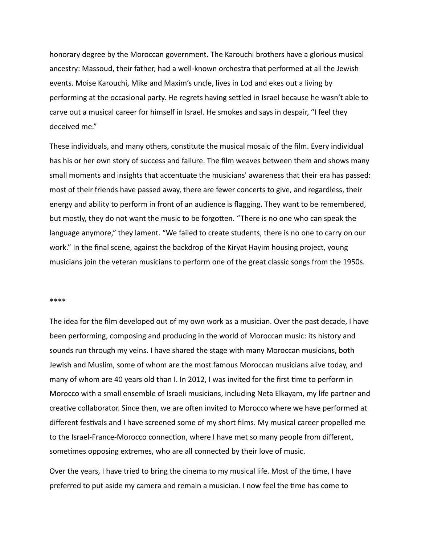honorary degree by the Moroccan government. The Karouchi brothers have a glorious musical ancestry: Massoud, their father, had a well-known orchestra that performed at all the Jewish events. Moise Karouchi, Mike and Maxim's uncle, lives in Lod and ekes out a living by performing at the occasional party. He regrets having settled in Israel because he wasn't able to carve out a musical career for himself in Israel. He smokes and says in despair, "I feel they deceived me."

These individuals, and many others, constitute the musical mosaic of the film. Every individual has his or her own story of success and failure. The film weaves between them and shows many small moments and insights that accentuate the musicians' awareness that their era has passed: most of their friends have passed away, there are fewer concerts to give, and regardless, their energy and ability to perform in front of an audience is flagging. They want to be remembered, but mostly, they do not want the music to be forgotten. "There is no one who can speak the language anymore," they lament. "We failed to create students, there is no one to carry on our work." In the final scene, against the backdrop of the Kiryat Hayim housing project, young musicians join the veteran musicians to perform one of the great classic songs from the 1950s.

#### \*\*\*\*

The idea for the film developed out of my own work as a musician. Over the past decade, I have been performing, composing and producing in the world of Moroccan music: its history and sounds run through my veins. I have shared the stage with many Moroccan musicians, both Jewish and Muslim, some of whom are the most famous Moroccan musicians alive today, and many of whom are 40 years old than I. In 2012, I was invited for the first time to perform in Morocco with a small ensemble of Israeli musicians, including Neta Elkayam, my life partner and creative collaborator. Since then, we are often invited to Morocco where we have performed at different festivals and I have screened some of my short films. My musical career propelled me to the Israel-France-Morocco connection, where I have met so many people from different, sometimes opposing extremes, who are all connected by their love of music.

Over the years, I have tried to bring the cinema to my musical life. Most of the time, I have preferred to put aside my camera and remain a musician. I now feel the time has come to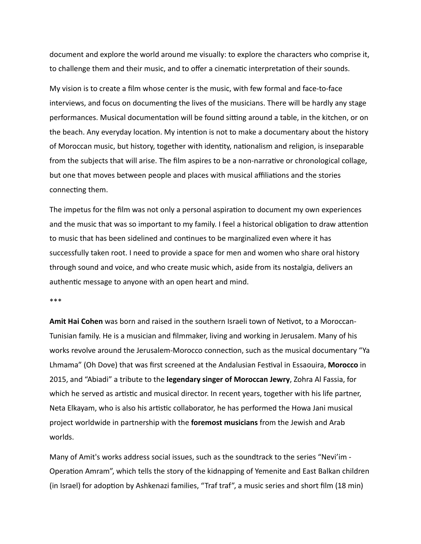document and explore the world around me visually: to explore the characters who comprise it, to challenge them and their music, and to offer a cinematic interpretation of their sounds.

My vision is to create a film whose center is the music, with few formal and face-to-face interviews, and focus on documenting the lives of the musicians. There will be hardly any stage performances. Musical documentation will be found sitting around a table, in the kitchen, or on the beach. Any everyday location. My intention is not to make a documentary about the history of Moroccan music, but history, together with identity, nationalism and religion, is inseparable from the subjects that will arise. The film aspires to be a non-narrative or chronological collage, but one that moves between people and places with musical affiliations and the stories connecting them.

The impetus for the film was not only a personal aspiration to document my own experiences and the music that was so important to my family. I feel a historical obligation to draw attention to music that has been sidelined and continues to be marginalized even where it has successfully taken root. I need to provide a space for men and women who share oral history through sound and voice, and who create music which, aside from its nostalgia, delivers an authentic message to anyone with an open heart and mind.

\*\*\* 

**Amit Hai Cohen** was born and raised in the southern Israeli town of Netivot, to a Moroccan-Tunisian family. He is a musician and filmmaker, living and working in Jerusalem. Many of his works revolve around the Jerusalem-Morocco connection, such as the musical documentary "Ya Lhmama" (Oh Dove) that was first screened at the Andalusian Festival in Essaouira, Morocco in 2015, and "Abiadi" a tribute to the **legendary singer of Moroccan Jewry**, Zohra Al Fassia, for which he served as artistic and musical director. In recent years, together with his life partner, Neta Elkayam, who is also his artistic collaborator, he has performed the Howa Jani musical project worldwide in partnership with the **foremost musicians** from the Jewish and Arab worlds. 

Many of Amit's works address social issues, such as the soundtrack to the series "Nevi'im -Operation Amram", which tells the story of the kidnapping of Yemenite and East Balkan children (in Israel) for adoption by Ashkenazi families, "Traf traf", a music series and short film (18 min)